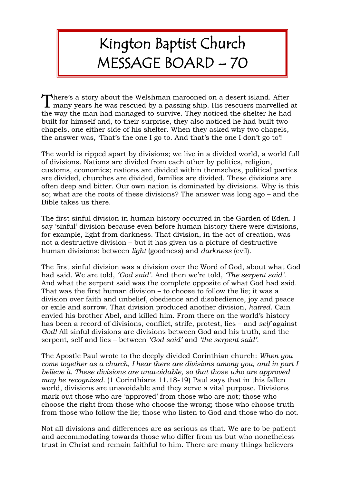## Kington Baptist Church MESSAGE BOARD – 70

here's a story about the Welshman marooned on a desert island. After There's a story about the Welshman marooned on a desert island. After many years he was rescued by a passing ship. His rescuers marvelled at the way the man had managed to survive. They noticed the shelter he had built for himself and, to their surprise, they also noticed he had built two chapels, one either side of his shelter. When they asked why two chapels, the answer was, 'That's the one I go to. And that's the one I don't go to'!

The world is ripped apart by divisions; we live in a divided world, a world full of divisions. Nations are divided from each other by politics, religion, customs, economics; nations are divided within themselves, political parties are divided, churches are divided, families are divided. These divisions are often deep and bitter. Our own nation is dominated by divisions. Why is this so; what are the roots of these divisions? The answer was long ago – and the Bible takes us there.

The first sinful division in human history occurred in the Garden of Eden. I say 'sinful' division because even before human history there were divisions, for example, light from darkness. That division, in the act of creation, was not a destructive division – but it has given us a picture of destructive human divisions: between *light* (goodness) and *darkness* (evil).

The first sinful division was a division over the Word of God, about what God had said. We are told, *'God said'*. And then we're told, *'The serpent said'*. And what the serpent said was the complete opposite of what God had said. That was the first human division – to choose to follow the lie; it was a division over faith and unbelief, obedience and disobedience, joy and peace or exile and sorrow. That division produced another division, *hatred*. Cain envied his brother Abel, and killed him. From there on the world's history has been a record of divisions, conflict, strife, protest, lies – and *self* against *God!* All sinful divisions are divisions between God and his truth, and the serpent, self and lies – between *'God said'* and *'the serpent said'.*

The Apostle Paul wrote to the deeply divided Corinthian church: *When you come together as a church, I hear there are divisions among you, and in part I believe it. These divisions are unavoidable, so that those who are approved may be recognized.* (1 Corinthians 11.18-19) Paul says that in this fallen world, divisions are unavoidable and they serve a vital purpose. Divisions mark out those who are 'approved' from those who are not; those who choose the right from those who choose the wrong; those who choose truth from those who follow the lie; those who listen to God and those who do not.

Not all divisions and differences are as serious as that. We are to be patient and accommodating towards those who differ from us but who nonetheless trust in Christ and remain faithful to him. There are many things believers